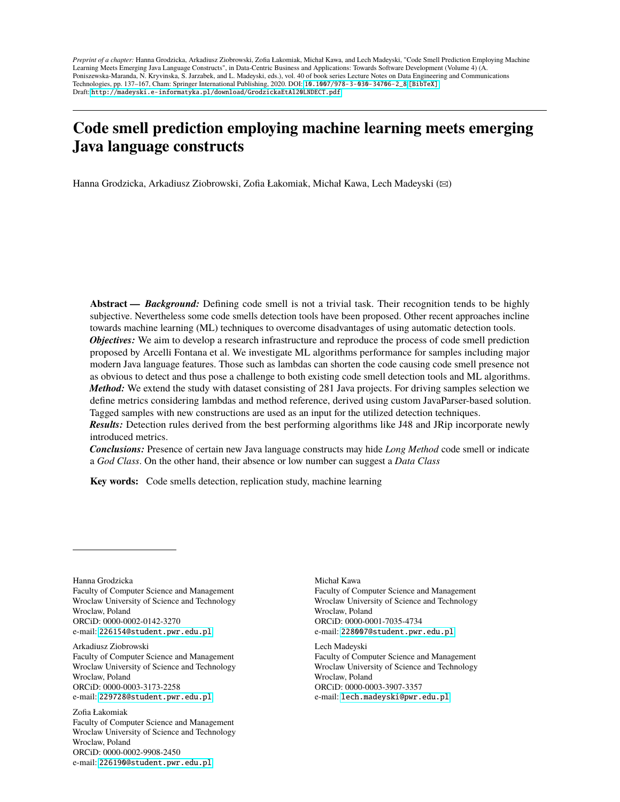*Preprint of a chapter:* Hanna Grodzicka, Arkadiusz Ziobrowski, Zofia Łakomiak, Michał Kawa, and Lech Madeyski, "Code Smell Prediction Employing Machine Learning Meets Emerging Java Language Constructs", in Data-Centric Business and Applications: Towards Software Development (Volume 4) (A. Poniszewska-Maranda, N. Kryvinska, S. Jarzabek, and L. Madeyski, eds.), vol. 40 of book series Lecture Notes on Data Engineering and Communications Technologies, pp. 137–167, Cham: Springer International Publishing, 2020. DOI: [10.1007/978-3-030-34706-2\\_8](https://doi.org/10.1007/978-3-030-34706-2_8) [\[BibTeX\]](http://madeyski.e-informatyka.pl/download/MadeyskiRefs.bib) Draft: <http://madeyski.e-informatyka.pl/download/GrodzickaEtAl20LNDECT.pdf>

# **Code smell prediction employing machine learning meets emerging Java language constructs**

Hanna Grodzicka, Arkadiusz Ziobrowski, Zofia Łakomiak, Michał Kawa, Lech Madeyski (B)

**Abstract —** *Background:* Defining code smell is not a trivial task. Their recognition tends to be highly subjective. Nevertheless some code smells detection tools have been proposed. Other recent approaches incline towards machine learning (ML) techniques to overcome disadvantages of using automatic detection tools. *Objectives:* We aim to develop a research infrastructure and reproduce the process of code smell prediction proposed by Arcelli Fontana et al. We investigate ML algorithms performance for samples including major modern Java language features. Those such as lambdas can shorten the code causing code smell presence not as obvious to detect and thus pose a challenge to both existing code smell detection tools and ML algorithms. *Method:* We extend the study with dataset consisting of 281 Java projects. For driving samples selection we define metrics considering lambdas and method reference, derived using custom JavaParser-based solution. Tagged samples with new constructions are used as an input for the utilized detection techniques.

*Results:* Detection rules derived from the best performing algorithms like J48 and JRip incorporate newly introduced metrics.

*Conclusions:* Presence of certain new Java language constructs may hide *Long Method* code smell or indicate a *God Class*. On the other hand, their absence or low number can suggest a *Data Class*

**Key words:** Code smells detection, replication study, machine learning

Hanna Grodzicka Faculty of Computer Science and Management Wroclaw University of Science and Technology Wroclaw, Poland ORCiD: 0000-0002-0142-3270 e-mail: <226154@student.pwr.edu.pl>

Arkadiusz Ziobrowski Faculty of Computer Science and Management Wroclaw University of Science and Technology Wroclaw, Poland ORCiD: 0000-0003-3173-2258 e-mail: <229728@student.pwr.edu.pl>

Zofia Łakomiak Faculty of Computer Science and Management Wroclaw University of Science and Technology Wroclaw, Poland ORCiD: 0000-0002-9908-2450 e-mail: <226190@student.pwr.edu.pl>

Michał Kawa Faculty of Computer Science and Management Wroclaw University of Science and Technology Wroclaw, Poland ORCiD: 0000-0001-7035-4734 e-mail: <228007@student.pwr.edu.pl>

Lech Madeyski Faculty of Computer Science and Management Wroclaw University of Science and Technology Wroclaw, Poland ORCiD: 0000-0003-3907-3357 e-mail: <lech.madeyski@pwr.edu.pl>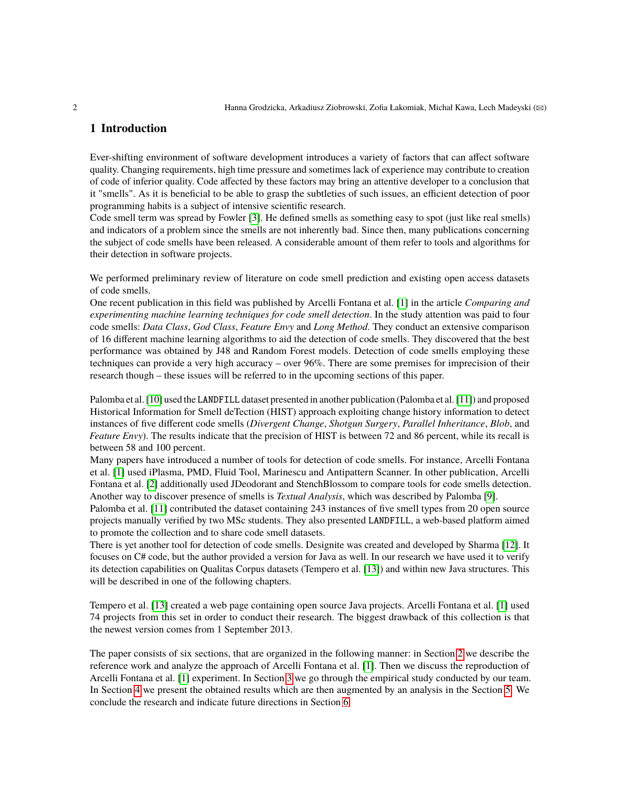# **1 Introduction**

Ever-shifting environment of software development introduces a variety of factors that can affect software quality. Changing requirements, high time pressure and sometimes lack of experience may contribute to creation of code of inferior quality. Code affected by these factors may bring an attentive developer to a conclusion that it "smells". As it is beneficial to be able to grasp the subtleties of such issues, an efficient detection of poor programming habits is a subject of intensive scientific research.

Code smell term was spread by Fowler [\[3\]](#page-20-0). He defined smells as something easy to spot (just like real smells) and indicators of a problem since the smells are not inherently bad. Since then, many publications concerning the subject of code smells have been released. A considerable amount of them refer to tools and algorithms for their detection in software projects.

We performed preliminary review of literature on code smell prediction and existing open access datasets of code smells.

One recent publication in this field was published by Arcelli Fontana et al. [\[1\]](#page-20-1) in the article *Comparing and experimenting machine learning techniques for code smell detection*. In the study attention was paid to four code smells: *Data Class*, *God Class*, *Feature Envy* and *Long Method*. They conduct an extensive comparison of 16 different machine learning algorithms to aid the detection of code smells. They discovered that the best performance was obtained by J48 and Random Forest models. Detection of code smells employing these techniques can provide a very high accuracy – over 96%. There are some premises for imprecision of their research though – these issues will be referred to in the upcoming sections of this paper.

Palomba et al. [\[10\]](#page-21-0) used the LANDFILL dataset presented in another publication (Palomba et al. [\[11\]](#page-21-1)) and proposed Historical Information for Smell deTection (HIST) approach exploiting change history information to detect instances of five different code smells (*Divergent Change*, *Shotgun Surgery*, *Parallel Inheritance*, *Blob*, and *Feature Envy*). The results indicate that the precision of HIST is between 72 and 86 percent, while its recall is between 58 and 100 percent.

Many papers have introduced a number of tools for detection of code smells. For instance, Arcelli Fontana et al. [\[1\]](#page-20-1) used iPlasma, PMD, Fluid Tool, Marinescu and Antipattern Scanner. In other publication, Arcelli Fontana et al. [\[2\]](#page-20-2) additionally used JDeodorant and StenchBlossom to compare tools for code smells detection. Another way to discover presence of smells is *Textual Analysis*, which was described by Palomba [\[9\]](#page-21-2).

Palomba et al. [\[11\]](#page-21-1) contributed the dataset containing 243 instances of five smell types from 20 open source projects manually verified by two MSc students. They also presented LANDFILL, a web-based platform aimed to promote the collection and to share code smell datasets.

There is yet another tool for detection of code smells. Designite was created and developed by Sharma [\[12\]](#page-21-3). It focuses on C# code, but the author provided a version for Java as well. In our research we have used it to verify its detection capabilities on Qualitas Corpus datasets (Tempero et al. [\[13\]](#page-21-4)) and within new Java structures. This will be described in one of the following chapters.

Tempero et al. [\[13\]](#page-21-4) created a web page containing open source Java projects. Arcelli Fontana et al. [\[1\]](#page-20-1) used 74 projects from this set in order to conduct their research. The biggest drawback of this collection is that the newest version comes from 1 September 2013.

The paper consists of six sections, that are organized in the following manner: in Section [2](#page-2-0) we describe the reference work and analyze the approach of Arcelli Fontana et al. [\[1\]](#page-20-1). Then we discuss the reproduction of Arcelli Fontana et al. [\[1\]](#page-20-1) experiment. In Section [3](#page-10-0) we go through the empirical study conducted by our team. In Section [4](#page-16-0) we present the obtained results which are then augmented by an analysis in the Section [5.](#page-19-0) We conclude the research and indicate future directions in Section [6.](#page-20-3)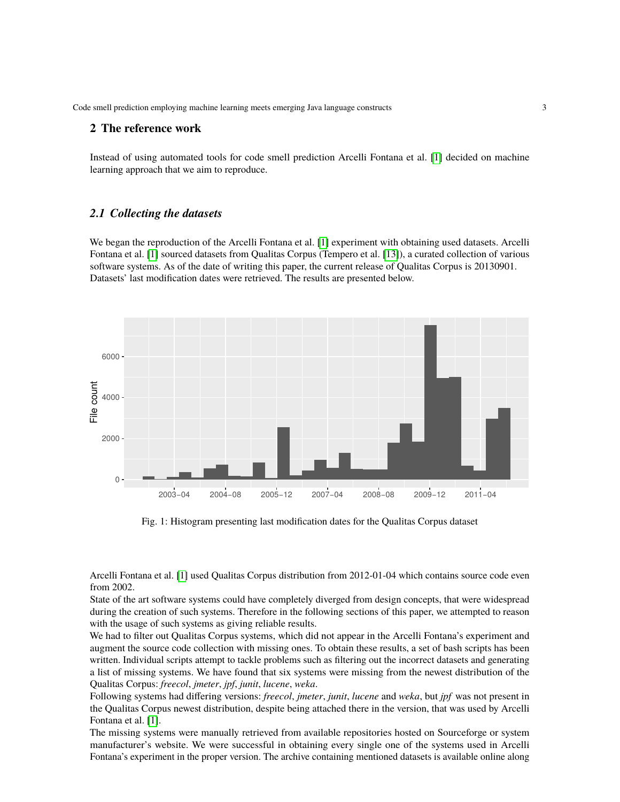#### <span id="page-2-0"></span>**2 The reference work**

Instead of using automated tools for code smell prediction Arcelli Fontana et al. [\[1\]](#page-20-1) decided on machine learning approach that we aim to reproduce.

### *2.1 Collecting the datasets*

We began the reproduction of the Arcelli Fontana et al. [\[1\]](#page-20-1) experiment with obtaining used datasets. Arcelli Fontana et al. [\[1\]](#page-20-1) sourced datasets from Qualitas Corpus (Tempero et al. [\[13\]](#page-21-4)), a curated collection of various software systems. As of the date of writing this paper, the current release of Qualitas Corpus is 20130901. Datasets' last modification dates were retrieved. The results are presented below.



Fig. 1: Histogram presenting last modification dates for the Qualitas Corpus dataset

Arcelli Fontana et al. [\[1\]](#page-20-1) used Qualitas Corpus distribution from 2012-01-04 which contains source code even from 2002.

State of the art software systems could have completely diverged from design concepts, that were widespread during the creation of such systems. Therefore in the following sections of this paper, we attempted to reason with the usage of such systems as giving reliable results.

We had to filter out Qualitas Corpus systems, which did not appear in the Arcelli Fontana's experiment and augment the source code collection with missing ones. To obtain these results, a set of bash scripts has been written. Individual scripts attempt to tackle problems such as filtering out the incorrect datasets and generating a list of missing systems. We have found that six systems were missing from the newest distribution of the Qualitas Corpus: *freecol*, *jmeter*, *jpf*, *junit*, *lucene*, *weka*.

Following systems had differing versions: *freecol*, *jmeter*, *junit*, *lucene* and *weka*, but *jpf* was not present in the Qualitas Corpus newest distribution, despite being attached there in the version, that was used by Arcelli Fontana et al. [\[1\]](#page-20-1).

The missing systems were manually retrieved from available repositories hosted on Sourceforge or system manufacturer's website. We were successful in obtaining every single one of the systems used in Arcelli Fontana's experiment in the proper version. The archive containing mentioned datasets is available online along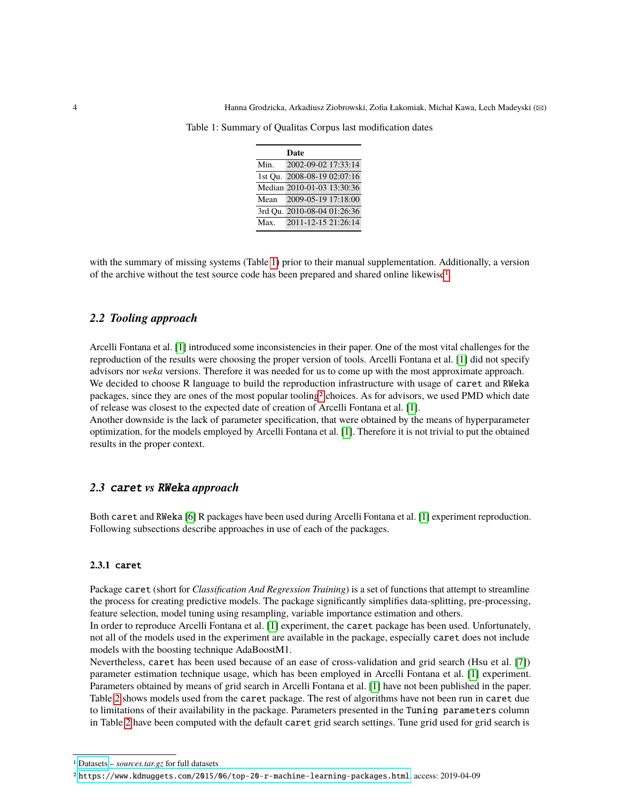<span id="page-3-0"></span>Table 1: Summary of Qualitas Corpus last modification dates

|                        | Date                        |
|------------------------|-----------------------------|
| Min.                   | 2002-09-02 17:33:14         |
| 1st Ou. $\overline{a}$ | 2008-08-19 02:07:16         |
|                        | Median 2010-01-03 13:30:36  |
| Mean                   | 2009-05-19 17:18:00         |
|                        | 3rd Ou. 2010-08-04 01:26:36 |
| Max.                   | 2011-12-15 21:26:14         |

with the summary of missing systems (Table [1\)](#page-3-0) prior to their manual supplementation. Additionally, a version of the archive without the test source code has been prepared and shared online likewise[1](#page-3-1).

# *2.2 Tooling approach*

Arcelli Fontana et al. [\[1\]](#page-20-1) introduced some inconsistencies in their paper. One of the most vital challenges for the reproduction of the results were choosing the proper version of tools. Arcelli Fontana et al. [\[1\]](#page-20-1) did not specify advisors nor *weka* versions. Therefore it was needed for us to come up with the most approximate approach. We decided to choose R language to build the reproduction infrastructure with usage of caret and RWeka packages, since they are ones of the most popular tooling<sup>[2](#page-3-2)</sup> choices. As for advisors, we used PMD which date of release was closest to the expected date of creation of Arcelli Fontana et al. [\[1\]](#page-20-1).

Another downside is the lack of parameter specification, that were obtained by the means of hyperparameter optimization, for the models employed by Arcelli Fontana et al. [\[1\]](#page-20-1). Therefore it is not trivial to put the obtained results in the proper context.

# *2.3* caret *vs* RWeka *approach*

Both caret and RWeka [\[6\]](#page-21-5) R packages have been used during Arcelli Fontana et al. [\[1\]](#page-20-1) experiment reproduction. Following subsections describe approaches in use of each of the packages.

#### **2.3.1** caret

Package caret (short for *Classification And Regression Training*) is a set of functions that attempt to streamline the process for creating predictive models. The package significantly simplifies data-splitting, pre-processing, feature selection, model tuning using resampling, variable importance estimation and others.

In order to reproduce Arcelli Fontana et al. [\[1\]](#page-20-1) experiment, the caret package has been used. Unfortunately, not all of the models used in the experiment are available in the package, especially caret does not include models with the boosting technique AdaBoostM1.

Nevertheless, caret has been used because of an ease of cross-validation and grid search (Hsu et al. [\[7\]](#page-21-6)) parameter estimation technique usage, which has been employed in Arcelli Fontana et al. [\[1\]](#page-20-1) experiment. Parameters obtained by means of grid search in Arcelli Fontana et al. [\[1\]](#page-20-1) have not been published in the paper. Table [2](#page-4-0) shows models used from the caret package. The rest of algorithms have not been run in caret due to limitations of their availability in the package. Parameters presented in the Tuning parameters column in Table [2](#page-4-0) have been computed with the default caret grid search settings. Tune grid used for grid search is

<span id="page-3-1"></span><sup>1</sup> [Datasets](https://mega.nz/#F!fiQ1ySgA!0QQ7GexzNsx_MDNiaGIfAA) – *sources.tar.gz* for full datasets

<span id="page-3-2"></span><sup>2</sup> <https://www.kdnuggets.com/2015/06/top-20-r-machine-learning-packages.html>, access: 2019-04-09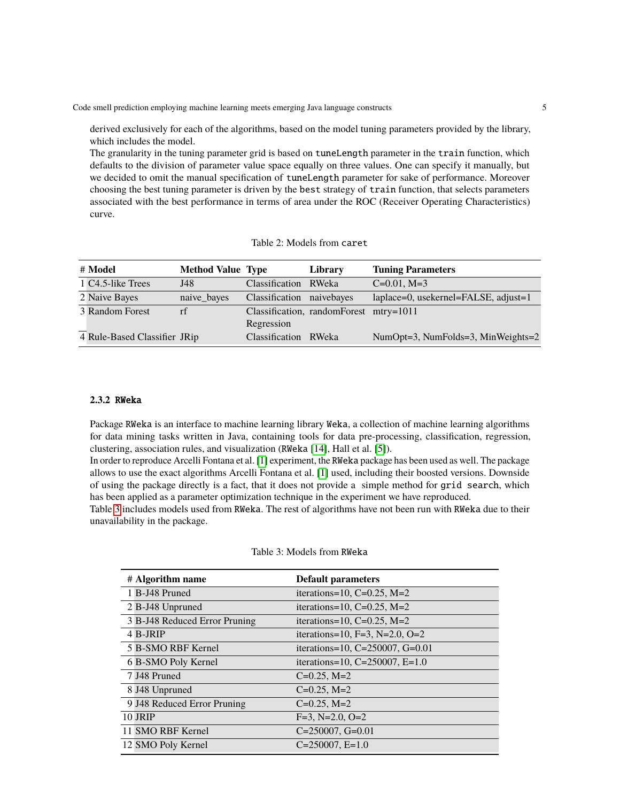derived exclusively for each of the algorithms, based on the model tuning parameters provided by the library, which includes the model.

The granularity in the tuning parameter grid is based on tuneLength parameter in the train function, which defaults to the division of parameter value space equally on three values. One can specify it manually, but we decided to omit the manual specification of tuneLength parameter for sake of performance. Moreover choosing the best tuning parameter is driven by the best strategy of train function, that selects parameters associated with the best performance in terms of area under the ROC (Receiver Operating Characteristics) curve.

<span id="page-4-0"></span>

| # Model                      | <b>Method Value Type</b> |                           | Library                                | <b>Tuning Parameters</b>             |
|------------------------------|--------------------------|---------------------------|----------------------------------------|--------------------------------------|
| 1 C4.5-like Trees            | J48                      | Classification RWeka      |                                        | $C=0.01, M=3$                        |
| 2 Naive Bayes                | naive_bayes              | Classification naivebayes |                                        | laplace=0, usekernel=FALSE, adjust=1 |
| 3 Random Forest              | <b>rf</b>                |                           | Classification, randomForest mtry=1011 |                                      |
|                              |                          | Regression                |                                        |                                      |
| 4 Rule-Based Classifier JRip |                          | Classification RWeka      |                                        | NumOpt=3, NumFolds=3, MinWeights=2   |

#### Table 2: Models from caret

#### **2.3.2** RWeka

Package RWeka is an interface to machine learning library Weka, a collection of machine learning algorithms for data mining tasks written in Java, containing tools for data pre-processing, classification, regression, clustering, association rules, and visualization (RWeka [\[14\]](#page-21-7), Hall et al. [\[5\]](#page-21-8)).

In order to reproduce Arcelli Fontana et al. [\[1\]](#page-20-1) experiment, the RWeka package has been used as well. The package allows to use the exact algorithms Arcelli Fontana et al. [\[1\]](#page-20-1) used, including their boosted versions. Downside of using the package directly is a fact, that it does not provide a simple method for grid search, which has been applied as a parameter optimization technique in the experiment we have reproduced.

Table [3](#page-4-1) includes models used from RWeka. The rest of algorithms have not been run with RWeka due to their unavailability in the package.

<span id="page-4-1"></span>

| # Algorithm name              | <b>Default parameters</b>                |
|-------------------------------|------------------------------------------|
| 1 B-J48 Pruned                | iterations=10, $C=0.25$ , M=2            |
| 2 B-J48 Unpruned              | iterations=10, $C=0.25$ , M=2            |
| 3 B-J48 Reduced Error Pruning | iterations=10, $C=0.25$ , $M=2$          |
| 4 B-JRIP                      | iterations=10, F=3, N=2.0, O=2           |
| 5 B-SMO RBF Kernel            | iterations=10, $C = 250007$ , $G = 0.01$ |
| 6 B-SMO Poly Kernel           | iterations=10, $C = 250007$ , $E = 1.0$  |
| 7 J48 Pruned                  | $C=0.25$ , M=2                           |
| 8 J48 Unpruned                | $C=0.25$ , $M=2$                         |
| 9 J48 Reduced Error Pruning   | $C=0.25$ , M=2                           |
| 10 JRIP                       | $F=3$ , N=2.0, O=2                       |
| 11 SMO RBF Kernel             | $C = 250007$ , $G = 0.01$                |
| 12 SMO Poly Kernel            | $C=250007, E=1.0$                        |

#### Table 3: Models from RWeka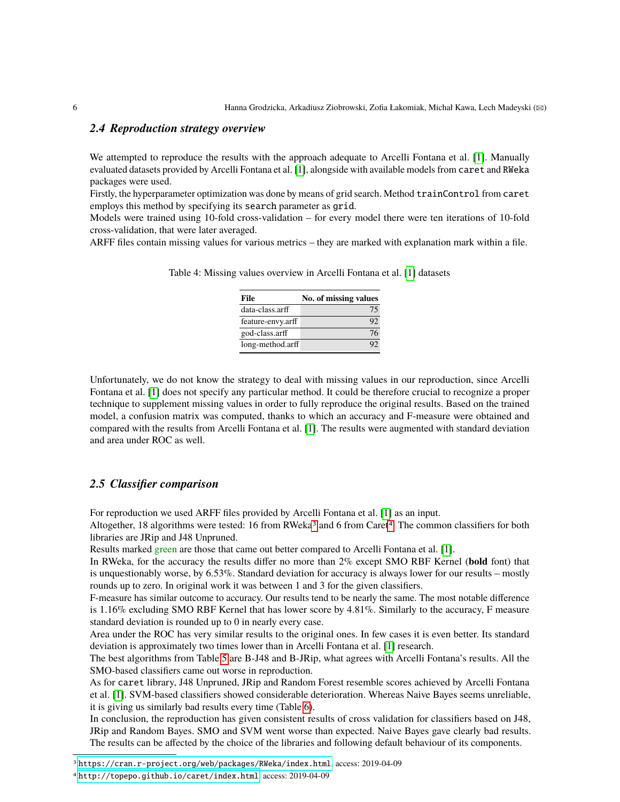## *2.4 Reproduction strategy overview*

We attempted to reproduce the results with the approach adequate to Arcelli Fontana et al. [\[1\]](#page-20-1). Manually evaluated datasets provided by Arcelli Fontana et al. [\[1\]](#page-20-1), alongside with available models from caret and RWeka packages were used.

Firstly, the hyperparameter optimization was done by means of grid search. Method trainControl from caret employs this method by specifying its search parameter as grid.

Models were trained using 10-fold cross-validation – for every model there were ten iterations of 10-fold cross-validation, that were later averaged.

ARFF files contain missing values for various metrics – they are marked with explanation mark within a file.

| File              | No. of missing values |
|-------------------|-----------------------|
| data-class.arff   | 75                    |
| feature-envy.arff | 92                    |
| god-class.arff    | 76                    |
| long-method.arff  | 92                    |

Table 4: Missing values overview in Arcelli Fontana et al. [\[1\]](#page-20-1) datasets

Unfortunately, we do not know the strategy to deal with missing values in our reproduction, since Arcelli Fontana et al. [\[1\]](#page-20-1) does not specify any particular method. It could be therefore crucial to recognize a proper technique to supplement missing values in order to fully reproduce the original results. Based on the trained model, a confusion matrix was computed, thanks to which an accuracy and F-measure were obtained and compared with the results from Arcelli Fontana et al. [\[1\]](#page-20-1). The results were augmented with standard deviation and area under ROC as well.

# *2.5 Classifier comparison*

For reproduction we used ARFF files provided by Arcelli Fontana et al. [\[1\]](#page-20-1) as an input.

Altogether, 18 algorithms were tested: 16 from RWeka<sup>[3](#page-5-0)</sup> and 6 from Caret<sup>[4](#page-5-1)</sup>. The common classifiers for both libraries are JRip and J48 Unpruned.

Results marked green are those that came out better compared to Arcelli Fontana et al. [\[1\]](#page-20-1).

In RWeka, for the accuracy the results differ no more than 2% except SMO RBF Kernel (**bold** font) that is unquestionably worse, by 6.53%. Standard deviation for accuracy is always lower for our results – mostly rounds up to zero. In original work it was between 1 and 3 for the given classifiers.

F-measure has similar outcome to accuracy. Our results tend to be nearly the same. The most notable difference is 1.16% excluding SMO RBF Kernel that has lower score by 4.81%. Similarly to the accuracy, F measure standard deviation is rounded up to 0 in nearly every case.

Area under the ROC has very similar results to the original ones. In few cases it is even better. Its standard deviation is approximately two times lower than in Arcelli Fontana et al. [\[1\]](#page-20-1) research.

The best algorithms from Table [5](#page-6-0) are B-J48 and B-JRip, what agrees with Arcelli Fontana's results. All the SMO-based classifiers came out worse in reproduction.

As for caret library, J48 Unpruned, JRip and Random Forest resemble scores achieved by Arcelli Fontana et al. [\[1\]](#page-20-1). SVM-based classifiers showed considerable deterioration. Whereas Naive Bayes seems unreliable, it is giving us similarly bad results every time (Table [6\)](#page-7-0).

In conclusion, the reproduction has given consistent results of cross validation for classifiers based on J48, JRip and Random Bayes. SMO and SVM went worse than expected. Naive Bayes gave clearly bad results. The results can be affected by the choice of the libraries and following default behaviour of its components.

<span id="page-5-0"></span>3 <https://cran.r-project.org/web/packages/RWeka/index.html>, access: 2019-04-09

<span id="page-5-1"></span><sup>4</sup> <http://topepo.github.io/caret/index.html>, access: 2019-04-09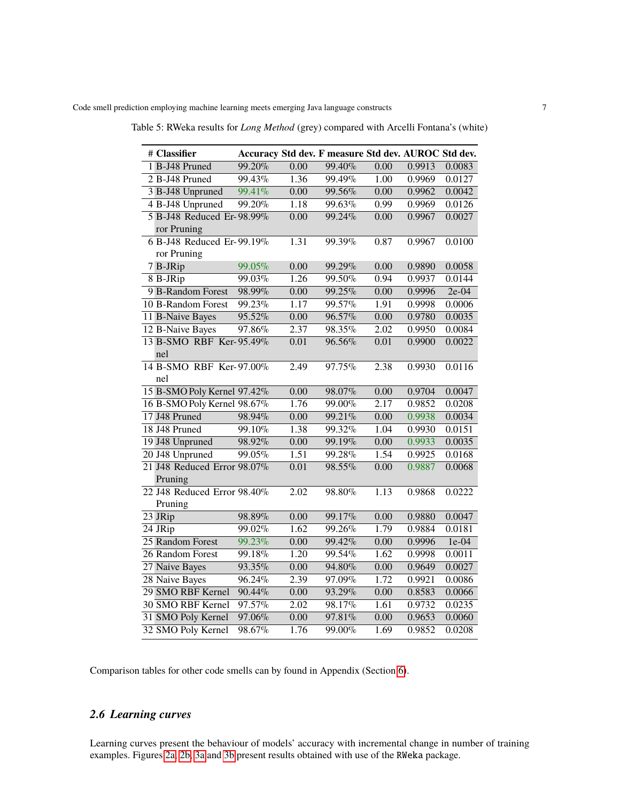| # Classifier                |        |                   | Accuracy Std dev. F measure Std dev. AUROC Std dev. |      |        |         |
|-----------------------------|--------|-------------------|-----------------------------------------------------|------|--------|---------|
| 1 B-J48 Pruned              | 99.20% | 0.00              | 99.40%                                              | 0.00 | 0.9913 | 0.0083  |
| 2 B-J48 Pruned              | 99.43% | 1.36              | 99.49%                                              | 1.00 | 0.9969 | 0.0127  |
| 3 B-J48 Unpruned            | 99.41% | 0.00              | 99.56%                                              | 0.00 | 0.9962 | 0.0042  |
| 4 B-J48 Unpruned            | 99.20% | 1.18              | 99.63%                                              | 0.99 | 0.9969 | 0.0126  |
| 5 B-J48 Reduced Er-98.99%   |        | 0.00              | 99.24%                                              | 0.00 | 0.9967 | 0.0027  |
| ror Pruning                 |        |                   |                                                     |      |        |         |
| 6 B-J48 Reduced Er-99.19%   |        | 1.31              | 99.39%                                              | 0.87 | 0.9967 | 0.0100  |
| ror Pruning                 |        |                   |                                                     |      |        |         |
| 7 B-JRip                    | 99.05% | 0.00              | 99.29%                                              | 0.00 | 0.9890 | 0.0058  |
| 8 B-JRip                    | 99.03% | 1.26              | 99.50%                                              | 0.94 | 0.9937 | 0.0144  |
| 9 B-Random Forest           | 98.99% | 0.00              | 99.25%                                              | 0.00 | 0.9996 | $2e-04$ |
| 10 B-Random Forest          | 99.23% | 1.17              | 99.57%                                              | 1.91 | 0.9998 | 0.0006  |
| 11 B-Naive Bayes            | 95.52% | 0.00              | 96.57%                                              | 0.00 | 0.9780 | 0.0035  |
| 12 B-Naive Bayes            | 97.86% | 2.37              | 98.35%                                              | 2.02 | 0.9950 | 0.0084  |
| 13 B-SMO RBF Ker-95.49%     |        | 0.01              | 96.56%                                              | 0.01 | 0.9900 | 0.0022  |
| nel                         |        |                   |                                                     |      |        |         |
| 14 B-SMO RBF Ker-97.00%     |        | 2.49              | 97.75%                                              | 2.38 | 0.9930 | 0.0116  |
| nel                         |        |                   |                                                     |      |        |         |
| 15 B-SMO Poly Kernel 97.42% |        | 0.00              | 98.07%                                              | 0.00 | 0.9704 | 0.0047  |
| 16 B-SMO Poly Kernel 98.67% |        | 1.76              | 99.00%                                              | 2.17 | 0.9852 | 0.0208  |
| 17 J48 Pruned               | 98.94% | 0.00              | 99.21%                                              | 0.00 | 0.9938 | 0.0034  |
| 18 J48 Pruned               | 99.10% | 1.38              | 99.32%                                              | 1.04 | 0.9930 | 0.0151  |
| 19 J48 Unpruned             | 98.92% | 0.00              | 99.19%                                              | 0.00 | 0.9933 | 0.0035  |
| 20 J48 Unpruned             | 99.05% | 1.51              | 99.28%                                              | 1.54 | 0.9925 | 0.0168  |
| 21 J48 Reduced Error 98.07% |        | 0.01              | 98.55%                                              | 0.00 | 0.9887 | 0.0068  |
| Pruning                     |        |                   |                                                     |      |        |         |
| 22 J48 Reduced Error 98.40% |        | $\overline{2.02}$ | 98.80%                                              | 1.13 | 0.9868 | 0.0222  |
| Pruning                     |        |                   |                                                     |      |        |         |
| 23 JRip                     | 98.89% | 0.00              | 99.17%                                              | 0.00 | 0.9880 | 0.0047  |
| $24$ JRip                   | 99.02% | 1.62              | 99.26%                                              | 1.79 | 0.9884 | 0.0181  |
| 25 Random Forest            | 99.23% | 0.00              | 99.42%                                              | 0.00 | 0.9996 | $1e-04$ |
| 26 Random Forest            | 99.18% | 1.20              | 99.54%                                              | 1.62 | 0.9998 | 0.0011  |
| 27 Naive Bayes              | 93.35% | 0.00              | 94.80%                                              | 0.00 | 0.9649 | 0.0027  |
| 28 Naive Bayes              | 96.24% | 2.39              | 97.09%                                              | 1.72 | 0.9921 | 0.0086  |
| 29 SMO RBF Kernel           | 90.44% | 0.00              | 93.29%                                              | 0.00 | 0.8583 | 0.0066  |
| 30 SMO RBF Kernel           | 97.57% | 2.02              | 98.17%                                              | 1.61 | 0.9732 | 0.0235  |
| 31 SMO Poly Kernel          | 97.06% | $0.00\,$          | 97.81%                                              | 0.00 | 0.9653 | 0.0060  |
| 32 SMO Poly Kernel          | 98.67% | 1.76              | 99.00%                                              | 1.69 | 0.9852 | 0.0208  |

<span id="page-6-0"></span>Table 5: RWeka results for *Long Method* (grey) compared with Arcelli Fontana's (white)

Comparison tables for other code smells can by found in Appendix (Section [6\)](#page-21-9).

# *2.6 Learning curves*

Learning curves present the behaviour of models' accuracy with incremental change in number of training examples. Figures [2a, 2b,](#page-7-1) [3a](#page-8-0) and [3b](#page-8-0) present results obtained with use of the RWeka package.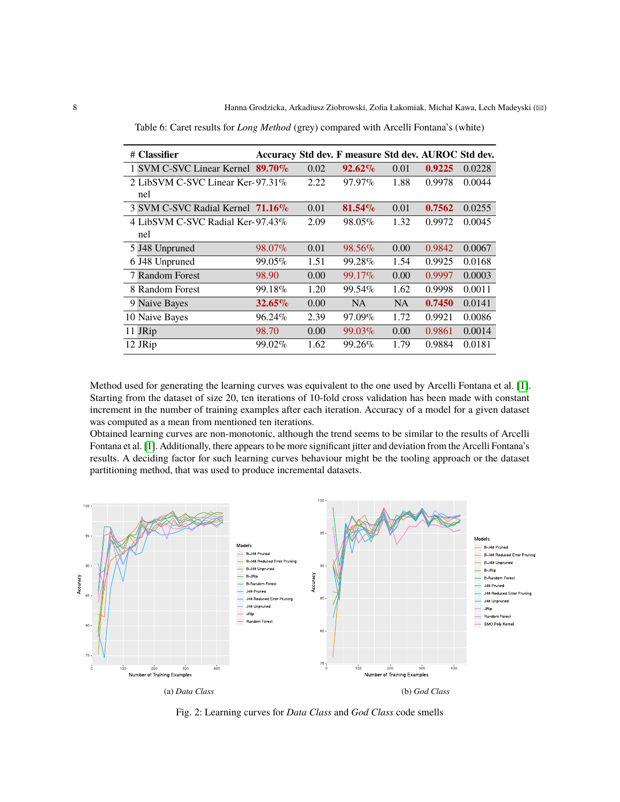<span id="page-7-0"></span>

| $#$ Classifier                   |           |      | Accuracy Std dev. F measure Std dev. AUROC Std dev. |           |        |        |
|----------------------------------|-----------|------|-----------------------------------------------------|-----------|--------|--------|
| 1 SVM C-SVC Linear Kernel 89.70% |           | 0.02 | $92.62\%$                                           | 0.01      | 0,9225 | 0.0228 |
| 2 LibSVM C-SVC Linear Ker-97.31% |           | 2.22 | $97.97\%$                                           | 1.88      | 0.9978 | 0.0044 |
| nel                              |           |      |                                                     |           |        |        |
| 3 SVM C-SVC Radial Kernel 71.16% |           | 0.01 | $81.54\%$                                           | 0.01      | 0.7562 | 0.0255 |
| 4 LibSVM C-SVC Radial Ker-97.43% |           | 2.09 | 98.05%                                              | 1.32      | 0.9972 | 0.0045 |
| nel                              |           |      |                                                     |           |        |        |
| 5 J48 Unpruned                   | 98.07%    | 0.01 | 98.56%                                              | 0.00      | 0.9842 | 0.0067 |
| 6 J48 Unpruned                   | 99.05%    | 1.51 | 99.28%                                              | 1.54      | 0.9925 | 0.0168 |
| 7 Random Forest                  | 98.90     | 0.00 | 99.17%                                              | 0.00      | 0.9997 | 0.0003 |
| 8 Random Forest                  | 99.18%    | 1.20 | 99.54%                                              | 1.62      | 0.9998 | 0.0011 |
| 9 Naive Bayes                    | $32.65\%$ | 0.00 | <b>NA</b>                                           | <b>NA</b> | 0.7450 | 0.0141 |
| 10 Naive Bayes                   | $96.24\%$ | 2.39 | $97.09\%$                                           | 1.72      | 0.9921 | 0.0086 |
| 11 JRip                          | 98.70     | 0.00 | $99.03\%$                                           | 0.00      | 0.9861 | 0.0014 |
| 12 JRip                          | $99.02\%$ | 1.62 | 99.26%                                              | 1.79      | 0.9884 | 0.0181 |

Table 6: Caret results for *Long Method* (grey) compared with Arcelli Fontana's (white)

Method used for generating the learning curves was equivalent to the one used by Arcelli Fontana et al. [\[1\]](#page-20-1). Starting from the dataset of size 20, ten iterations of 10-fold cross validation has been made with constant increment in the number of training examples after each iteration. Accuracy of a model for a given dataset was computed as a mean from mentioned ten iterations.

Obtained learning curves are non-monotonic, although the trend seems to be similar to the results of Arcelli Fontana et al. [\[1\]](#page-20-1). Additionally, there appears to be more significant jitter and deviation from the Arcelli Fontana's results. A deciding factor for such learning curves behaviour might be the tooling approach or the dataset partitioning method, that was used to produce incremental datasets.

<span id="page-7-1"></span>

Fig. 2: Learning curves for *Data Class* and *God Class* code smells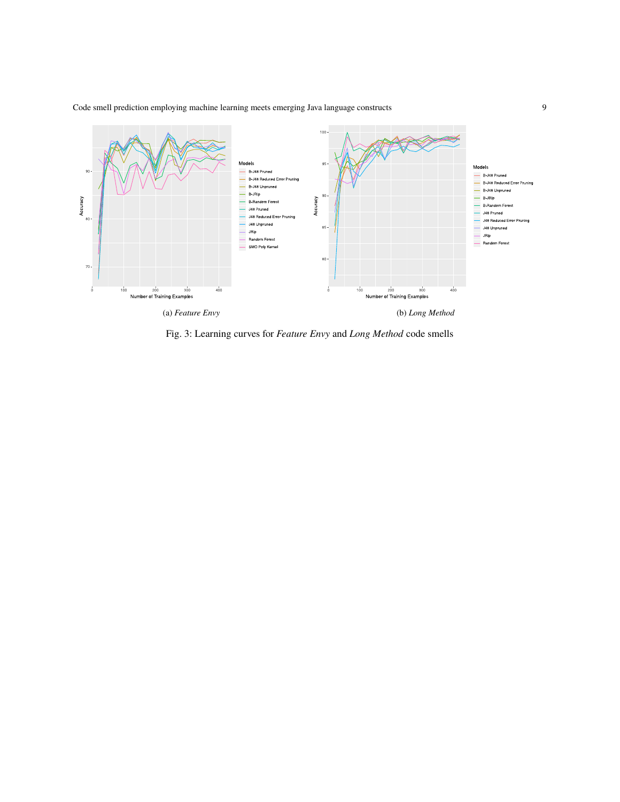<span id="page-8-0"></span>

Fig. 3: Learning curves for *Feature Envy* and *Long Method* code smells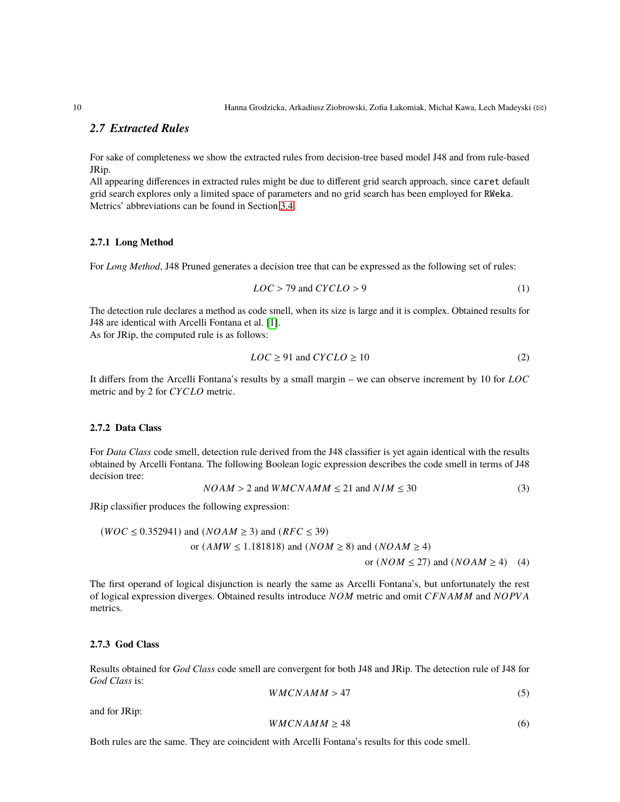# *2.7 Extracted Rules*

For sake of completeness we show the extracted rules from decision-tree based model J48 and from rule-based JRip.

All appearing differences in extracted rules might be due to different grid search approach, since caret default grid search explores only a limited space of parameters and no grid search has been employed for RWeka. Metrics' abbreviations can be found in Section [3.4.](#page-15-0)

#### **2.7.1 Long Method**

For *Long Method*, J48 Pruned generates a decision tree that can be expressed as the following set of rules:

$$
LOC > 79 \text{ and } CYCLO > 9 \tag{1}
$$

The detection rule declares a method as code smell, when its size is large and it is complex. Obtained results for J48 are identical with Arcelli Fontana et al. [\[1\]](#page-20-1).

As for JRip, the computed rule is as follows:

$$
LOC \ge 91 \text{ and } CYCLO \ge 10
$$
 (2)

It differs from the Arcelli Fontana's results by a small margin – we can observe increment by 10 for  $LOC$ metric and by 2 for CYCLO metric.

### **2.7.2 Data Class**

For *Data Class* code smell, detection rule derived from the J48 classifier is yet again identical with the results obtained by Arcelli Fontana. The following Boolean logic expression describes the code smell in terms of J48 decision tree:

$$
NOAM > 2 \text{ and } WMCNAMM \le 21 \text{ and } NIM \le 30 \tag{3}
$$

JRip classifier produces the following expression:

$$
(WOC \le 0.352941) \text{ and } (NOAM \ge 3) \text{ and } (RFC \le 39)
$$
  
or 
$$
(AMW \le 1.181818) \text{ and } (NOM \ge 8) \text{ and } (NOM \ge 4)
$$
  
or 
$$
(NOM \le 27) \text{ and } (NOM \ge 4) \tag{4}
$$

The first operand of logical disjunction is nearly the same as Arcelli Fontana's, but unfortunately the rest of logical expression diverges. Obtained results introduce  $NOM$  metric and omit  $CFNAMM$  and  $NOPVA$ metrics.

#### **2.7.3 God Class**

Results obtained for *God Class* code smell are convergent for both J48 and JRip. The detection rule of J48 for *God Class* is:

$$
WMCNAMM > 47
$$
 (5)

and for JRip:

$$
WMCNAMM \ge 48\tag{6}
$$

Both rules are the same. They are coincident with Arcelli Fontana's results for this code smell.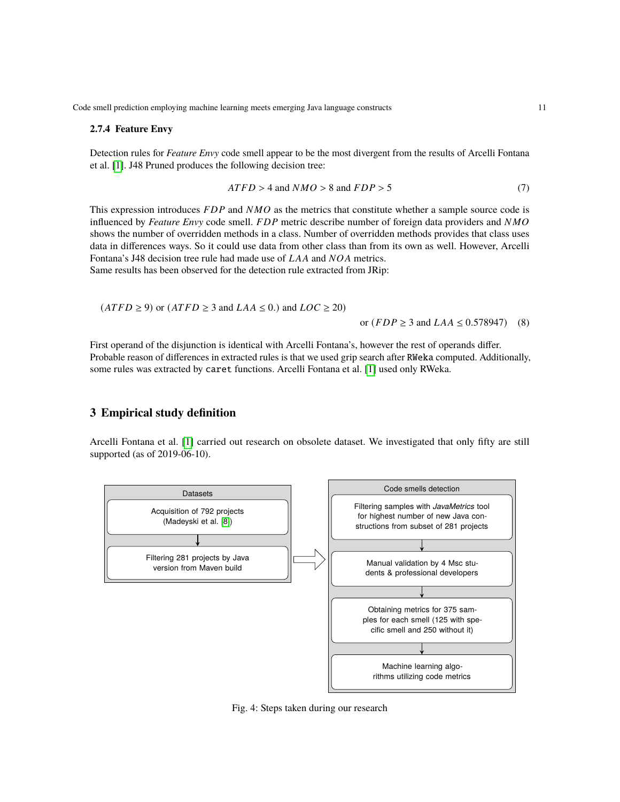#### **2.7.4 Feature Envy**

Detection rules for *Feature Envy* code smell appear to be the most divergent from the results of Arcelli Fontana et al. [\[1\]](#page-20-1). J48 Pruned produces the following decision tree:

$$
ATFD > 4 \text{ and } NMO > 8 \text{ and } FDP > 5 \tag{7}
$$

This expression introduces  $FDP$  and  $NMO$  as the metrics that constitute whether a sample source code is influenced by *Feature Envy* code smell. FDP metric describe number of foreign data providers and NMO shows the number of overridden methods in a class. Number of overridden methods provides that class uses data in differences ways. So it could use data from other class than from its own as well. However, Arcelli Fontana's J48 decision tree rule had made use of  $LAA$  and  $NOA$  metrics. Same results has been observed for the detection rule extracted from JRip:

$$
(ATFD \ge 9) \text{ or } (ATFD \ge 3 \text{ and } LAA \le 0.) \text{ and } LOC \ge 20)
$$
  
or 
$$
(FDP \ge 3 \text{ and } LAA \le 0.578947) \tag{8}
$$

First operand of the disjunction is identical with Arcelli Fontana's, however the rest of operands differ. Probable reason of differences in extracted rules is that we used grip search after RWeka computed. Additionally, some rules was extracted by caret functions. Arcelli Fontana et al. [\[1\]](#page-20-1) used only RWeka.

# <span id="page-10-0"></span>**3 Empirical study definition**

Arcelli Fontana et al. [\[1\]](#page-20-1) carried out research on obsolete dataset. We investigated that only fifty are still supported (as of 2019-06-10).



Fig. 4: Steps taken during our research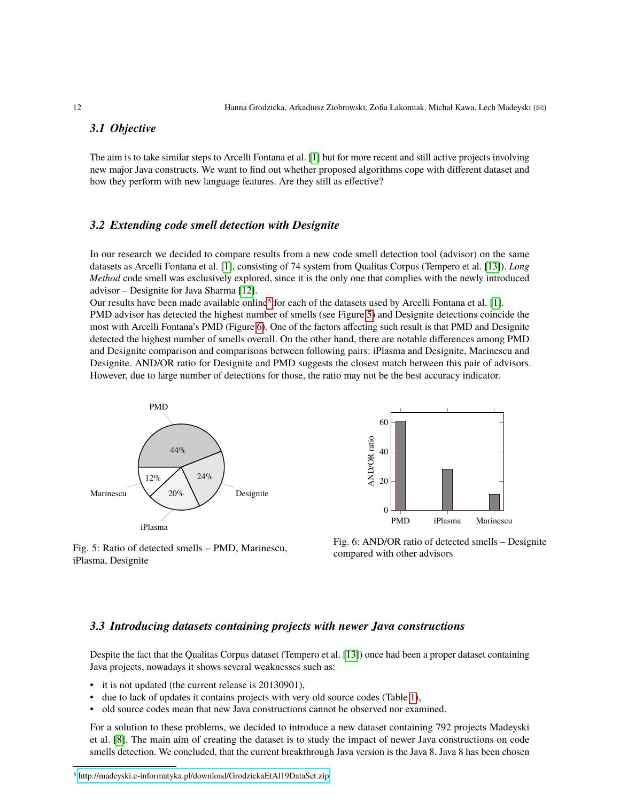# *3.1 Objective*

The aim is to take similar steps to Arcelli Fontana et al. [\[1\]](#page-20-1) but for more recent and still active projects involving new major Java constructs. We want to find out whether proposed algorithms cope with different dataset and how they perform with new language features. Are they still as effective?

# *3.2 Extending code smell detection with Designite*

In our research we decided to compare results from a new code smell detection tool (advisor) on the same datasets as Arcelli Fontana et al. [\[1\]](#page-20-1), consisting of 74 system from Qualitas Corpus (Tempero et al. [\[13\]](#page-21-4)). *Long Method* code smell was exclusively explored, since it is the only one that complies with the newly introduced advisor – Designite for Java Sharma [\[12\]](#page-21-3).

Our results have been made available online<sup>[5](#page-11-0)</sup> for each of the datasets used by Arcelli Fontana et al. [\[1\]](#page-20-1). PMD advisor has detected the highest number of smells (see Figure [5\)](#page-11-1) and Designite detections coincide the most with Arcelli Fontana's PMD (Figure [6\)](#page-11-1). One of the factors affecting such result is that PMD and Designite detected the highest number of smells overall. On the other hand, there are notable differences among PMD and Designite comparison and comparisons between following pairs: iPlasma and Designite, Marinescu and Designite. AND/OR ratio for Designite and PMD suggests the closest match between this pair of advisors. However, due to large number of detections for those, the ratio may not be the best accuracy indicator.

<span id="page-11-1"></span>

PMD iPlasma Marinescu  $\Omega$ 20 40 60 AND/OR ratio

Fig. 5: Ratio of detected smells – PMD, Marinescu, iPlasma, Designite

Fig. 6: AND/OR ratio of detected smells – Designite compared with other advisors

# *3.3 Introducing datasets containing projects with newer Java constructions*

Despite the fact that the Qualitas Corpus dataset (Tempero et al. [\[13\]](#page-21-4)) once had been a proper dataset containing Java projects, nowadays it shows several weaknesses such as:

- it is not updated (the current release is 20130901),
- due to lack of updates it contains projects with very old source codes (Table [1\)](#page-3-0),
- old source codes mean that new Java constructions cannot be observed nor examined.

For a solution to these problems, we decided to introduce a new dataset containing 792 projects Madeyski et al. [\[8\]](#page-21-10). The main aim of creating the dataset is to study the impact of newer Java constructions on code smells detection. We concluded, that the current breakthrough Java version is the Java 8. Java 8 has been chosen

<span id="page-11-0"></span><sup>5</sup> <http://madeyski.e-informatyka.pl/download/GrodzickaEtAl19DataSet.zip>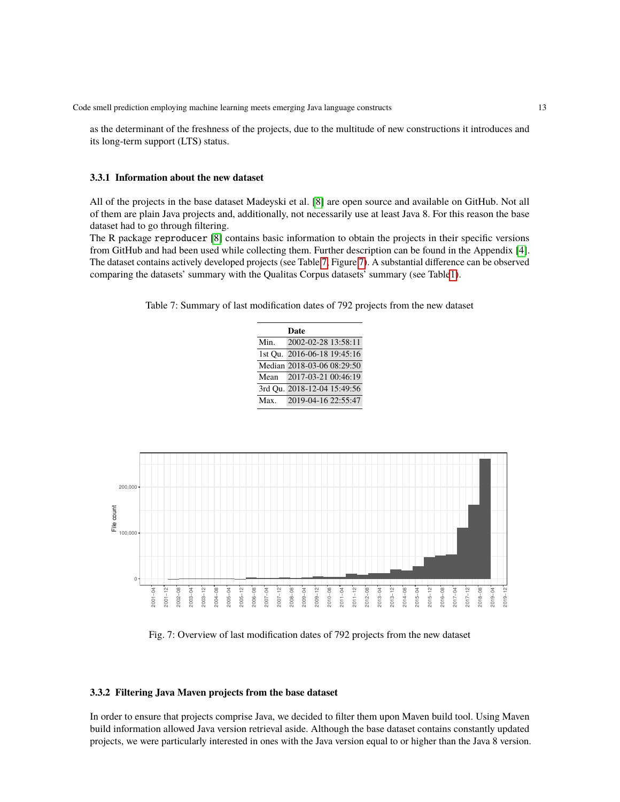as the determinant of the freshness of the projects, due to the multitude of new constructions it introduces and its long-term support (LTS) status.

### **3.3.1 Information about the new dataset**

All of the projects in the base dataset Madeyski et al. [\[8\]](#page-21-10) are open source and available on GitHub. Not all of them are plain Java projects and, additionally, not necessarily use at least Java 8. For this reason the base dataset had to go through filtering.

The R package reproducer [\[8\]](#page-21-10) contains basic information to obtain the projects in their specific versions from GitHub and had been used while collecting them. Further description can be found in the Appendix [\[4\]](#page-20-4). The dataset contains actively developed projects (see Table [7,](#page-12-0) Figure [7\)](#page-12-1). A substantial difference can be observed comparing the datasets' summary with the Qualitas Corpus datasets' summary (see Tabl[e1\)](#page-3-0).

<span id="page-12-0"></span>Table 7: Summary of last modification dates of 792 projects from the new dataset

|      | Date                        |
|------|-----------------------------|
| Min. | 2002-02-28 13:58:11         |
|      | 1st Qu. 2016-06-18 19:45:16 |
|      | Median 2018-03-06 08:29:50  |
| Mean | 2017-03-21 00:46:19         |
|      | 3rd Ou. 2018-12-04 15:49:56 |
| Max  | 2019-04-16 22:55:47         |

<span id="page-12-1"></span>

Fig. 7: Overview of last modification dates of 792 projects from the new dataset

#### **3.3.2 Filtering Java Maven projects from the base dataset**

In order to ensure that projects comprise Java, we decided to filter them upon Maven build tool. Using Maven build information allowed Java version retrieval aside. Although the base dataset contains constantly updated projects, we were particularly interested in ones with the Java version equal to or higher than the Java 8 version.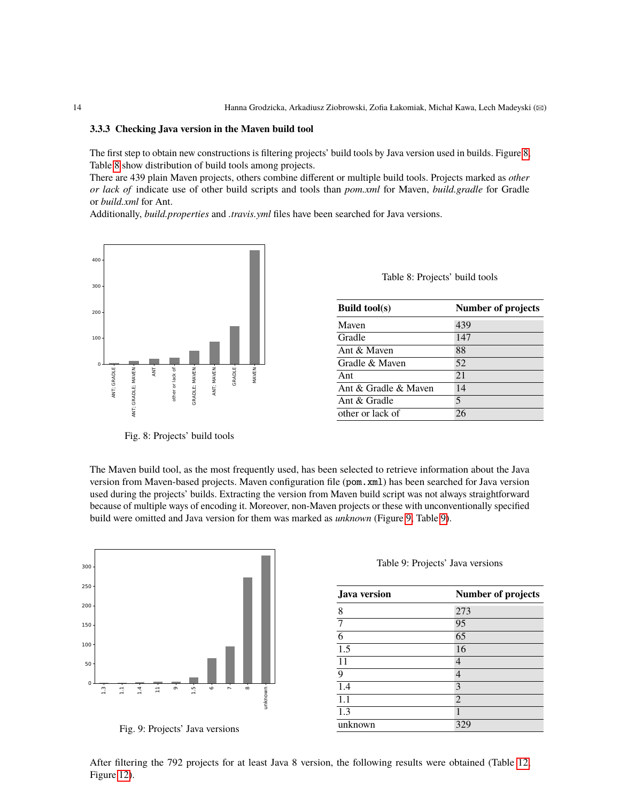#### **3.3.3 Checking Java version in the Maven build tool**

The first step to obtain new constructions is filtering projects' build tools by Java version used in builds. Figure [8,](#page-13-0) Table [8](#page-13-0) show distribution of build tools among projects.

There are 439 plain Maven projects, others combine different or multiple build tools. Projects marked as *other or lack of* indicate use of other build scripts and tools than *pom.xml* for Maven, *build.gradle* for Gradle or *build.xml* for Ant.

Additionally, *build.properties* and *.travis.yml* files have been searched for Java versions.

<span id="page-13-0"></span>

Fig. 8: Projects' build tools

Table 8: Projects' build tools

| <b>Build tool(s)</b> | Number of projects |
|----------------------|--------------------|
| Maven                | 439                |
| Gradle               | 147                |
| Ant & Maven          | 88                 |
| Gradle & Maven       | 52                 |
| Ant                  | 2.1                |
| Ant & Gradle & Mayen | 14                 |
| Ant & Gradle         | 5                  |
| other or lack of     |                    |

The Maven build tool, as the most frequently used, has been selected to retrieve information about the Java version from Maven-based projects. Maven configuration file (pom.xml) has been searched for Java version used during the projects' builds. Extracting the version from Maven build script was not always straightforward because of multiple ways of encoding it. Moreover, non-Maven projects or these with unconventionally specified build were omitted and Java version for them was marked as *unknown* (Figure [9,](#page-13-1) Table [9\)](#page-13-1).

<span id="page-13-1"></span>

Fig. 9: Projects' Java versions

#### Table 9: Projects' Java versions

| Java version     | <b>Number of projects</b> |
|------------------|---------------------------|
| 8                | 273                       |
| $\overline{7}$   | 95                        |
| 6                | 65                        |
| 1.5              | 16                        |
| 11               | 4                         |
| 9                | 4                         |
| $\overline{1.4}$ | 3                         |
| 1.1              | $\overline{2}$            |
| 1.3              |                           |
| unknown          | 329                       |

After filtering the 792 projects for at least Java 8 version, the following results were obtained (Table [12,](#page-15-1) Figure [12\)](#page-15-1).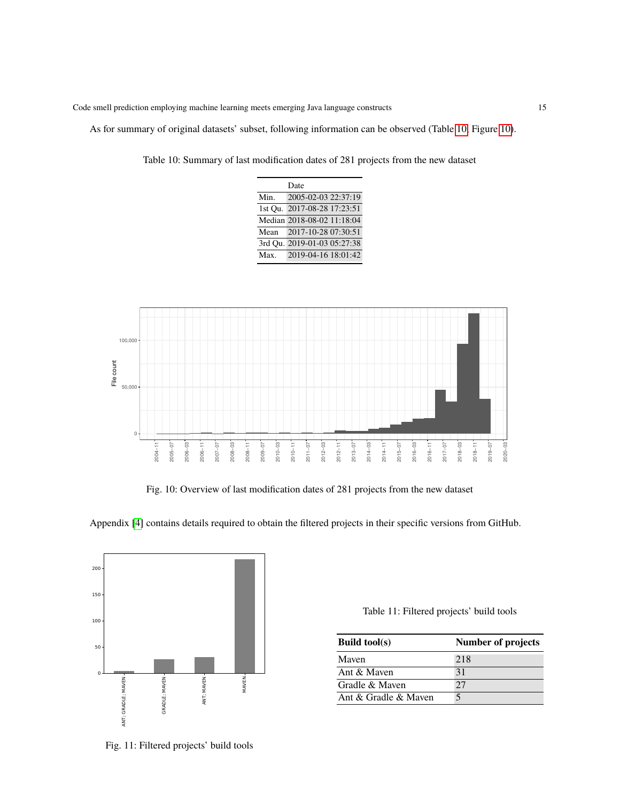<span id="page-14-0"></span>As for summary of original datasets' subset, following information can be observed (Table [10,](#page-14-0) Figure [10\)](#page-14-1).

Table 10: Summary of last modification dates of 281 projects from the new dataset

|      | Date                        |
|------|-----------------------------|
| Min. | 2005-02-03 22:37:19         |
|      | 1st Ou. 2017-08-28 17:23:51 |
|      | Median 2018-08-02 11:18:04  |
|      | Mean 2017-10-28 07:30:51    |
|      | 3rd Ou. 2019-01-03 05:27:38 |
| Max. | 2019-04-16 18:01:42         |

<span id="page-14-1"></span>

Fig. 10: Overview of last modification dates of 281 projects from the new dataset

Appendix [\[4\]](#page-20-4) contains details required to obtain the filtered projects in their specific versions from GitHub.



Fig. 11: Filtered projects' build tools

| Table 11: Filtered projects' build tools |  |  |  |
|------------------------------------------|--|--|--|
|------------------------------------------|--|--|--|

| <b>Build tool(s)</b> | <b>Number of projects</b> |
|----------------------|---------------------------|
| Maven                | 218                       |
| Ant & Maven          | 31                        |
| Gradle & Maven       | 27                        |
| Ant & Gradle & Mayen |                           |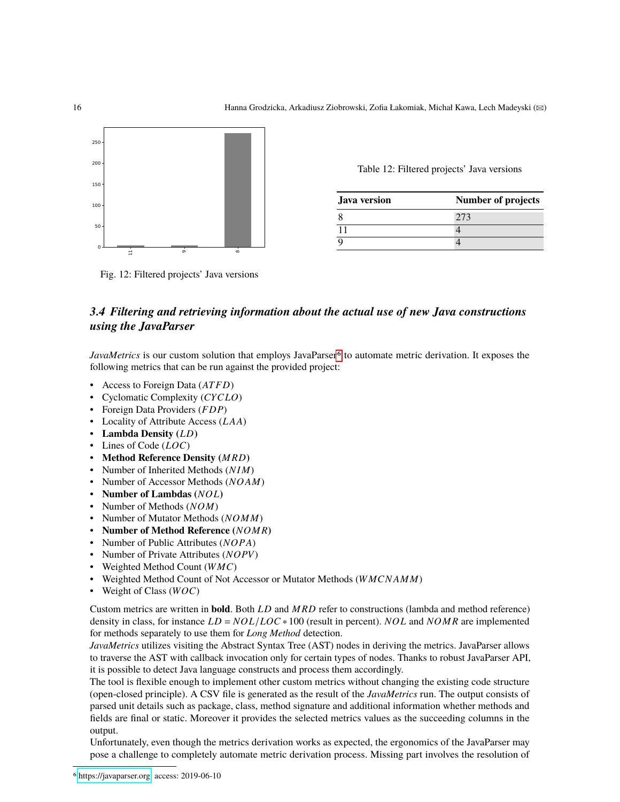<span id="page-15-1"></span>

Table 12: Filtered projects' Java versions

| Java version | Number of projects |
|--------------|--------------------|
| 8            | 273                |
| 11           |                    |
| 9            |                    |

Fig. 12: Filtered projects' Java versions

# <span id="page-15-0"></span>*3.4 Filtering and retrieving information about the actual use of new Java constructions using the JavaParser*

*JavaMetrics* is our custom solution that employs JavaParser<sup>[6](#page-15-2)</sup> to automate metric derivation. It exposes the following metrics that can be run against the provided project:

- Access to Foreign Data  $(ATFD)$
- Cyclomatic Complexity (CYCLO)
- Foreign Data Providers  $(FDP)$
- Locality of Attribute Access  $(LAA)$
- Lambda Density  $(LD)$
- Lines of Code  $(LOC)$
- **Method Reference Density** (*MRD*)
- Number of Inherited Methods (NIM)
- Number of Accessor Methods  $(NOAM)$
- **Number of Lambdas** (*NOL*)
- Number of Methods  $(NOM)$
- Number of Mutator Methods  $(NOMM)$
- **Number of Method Reference** (*NOMR*)
- Number of Public Attributes  $(NOPA)$
- Number of Private Attributes  $(NOPV)$
- Weighted Method Count  $(WMC)$
- Weighted Method Count of Not Accessor or Mutator Methods (WMCNAMM)
- Weight of Class  $(WOC)$

Custom metrics are written in **bold**. Both *LD* and *MRD* refer to constructions (lambda and method reference) density in class, for instance  $LD = NOL/LOC * 100$  (result in percent). *NOL* and *NOMR* are implemented for methods separately to use them for *Long Method* detection.

*JavaMetrics* utilizes visiting the Abstract Syntax Tree (AST) nodes in deriving the metrics. JavaParser allows to traverse the AST with callback invocation only for certain types of nodes. Thanks to robust JavaParser API, it is possible to detect Java language constructs and process them accordingly.

The tool is flexible enough to implement other custom metrics without changing the existing code structure (open-closed principle). A CSV file is generated as the result of the *JavaMetrics* run. The output consists of parsed unit details such as package, class, method signature and additional information whether methods and fields are final or static. Moreover it provides the selected metrics values as the succeeding columns in the output.

<span id="page-15-2"></span>Unfortunately, even though the metrics derivation works as expected, the ergonomics of the JavaParser may pose a challenge to completely automate metric derivation process. Missing part involves the resolution of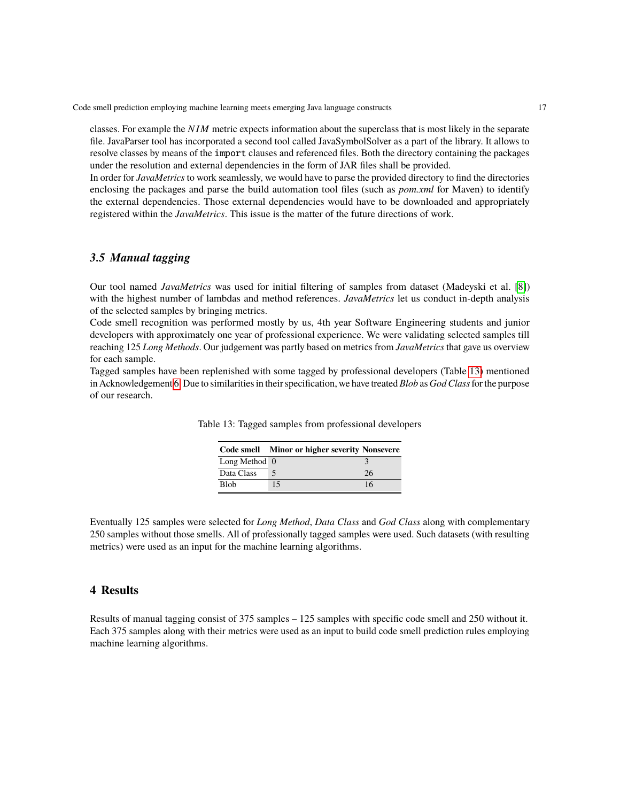classes. For example the  $NIM$  metric expects information about the superclass that is most likely in the separate file. JavaParser tool has incorporated a second tool called JavaSymbolSolver as a part of the library. It allows to resolve classes by means of the import clauses and referenced files. Both the directory containing the packages under the resolution and external dependencies in the form of JAR files shall be provided.

In order for *JavaMetrics* to work seamlessly, we would have to parse the provided directory to find the directories enclosing the packages and parse the build automation tool files (such as *pom.xml* for Maven) to identify the external dependencies. Those external dependencies would have to be downloaded and appropriately registered within the *JavaMetrics*. This issue is the matter of the future directions of work.

# *3.5 Manual tagging*

Our tool named *JavaMetrics* was used for initial filtering of samples from dataset (Madeyski et al. [\[8\]](#page-21-10)) with the highest number of lambdas and method references. *JavaMetrics* let us conduct in-depth analysis of the selected samples by bringing metrics.

Code smell recognition was performed mostly by us, 4th year Software Engineering students and junior developers with approximately one year of professional experience. We were validating selected samples till reaching 125 *Long Methods*. Our judgement was partly based on metrics from *JavaMetrics* that gave us overview for each sample.

<span id="page-16-1"></span>Tagged samples have been replenished with some tagged by professional developers (Table [13\)](#page-16-1) mentioned in Acknowledgement [6.](#page-20-3) Due to similarities in their specification, we have treated *Blob* as *God Class*for the purpose of our research.

|               | Code smell Minor or higher severity Nonsevere |    |
|---------------|-----------------------------------------------|----|
| Long Method 0 |                                               |    |
| Data Class    |                                               | 26 |
| <b>Blob</b>   | 15                                            | 16 |

|  |  | Table 13: Tagged samples from professional developers |  |
|--|--|-------------------------------------------------------|--|
|  |  |                                                       |  |

Eventually 125 samples were selected for *Long Method*, *Data Class* and *God Class* along with complementary 250 samples without those smells. All of professionally tagged samples were used. Such datasets (with resulting metrics) were used as an input for the machine learning algorithms.

# <span id="page-16-0"></span>**4 Results**

Results of manual tagging consist of 375 samples – 125 samples with specific code smell and 250 without it. Each 375 samples along with their metrics were used as an input to build code smell prediction rules employing machine learning algorithms.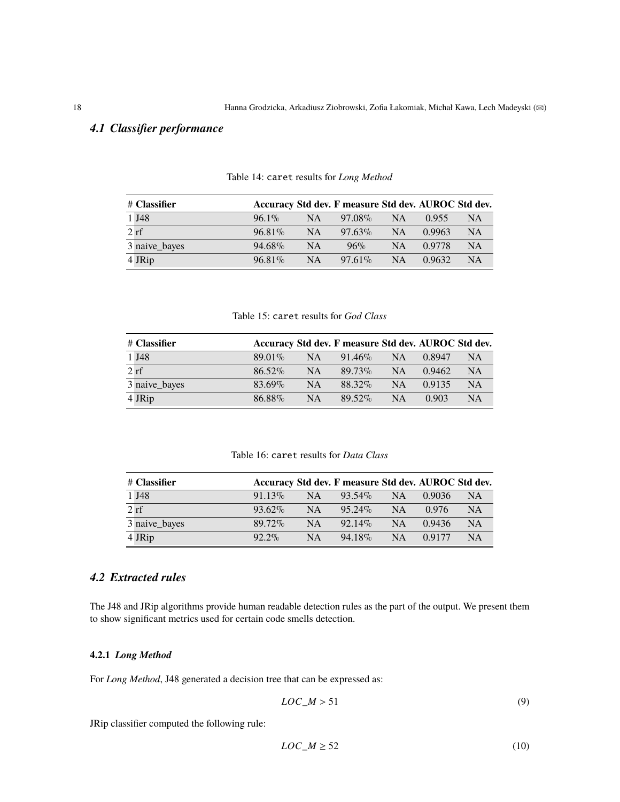# *4.1 Classifier performance*

| # Classifier      | Accuracy Std dev. F measure Std dev. AUROC Std dev. |    |           |           |        |           |
|-------------------|-----------------------------------------------------|----|-----------|-----------|--------|-----------|
| 1 J48             | $96.1\%$                                            | NΑ | $97.08\%$ | <b>NA</b> | 0.955  | <b>NA</b> |
| $\overline{2}$ rf | $96.81\%$                                           | NΑ | $97.63\%$ | ΝA        | 0.9963 | <b>NA</b> |
| 3 naive_bayes     | 94.68%                                              | NA | 96%       | <b>NA</b> | 0.9778 | <b>NA</b> |
| 4 JRip            | $96.81\%$                                           | NΑ | $97.61\%$ | ΝA        | 0.9632 | <b>NA</b> |

Table 14: caret results for *Long Method*

Table 15: caret results for *God Class*

| # Classifier              | Accuracy Std dev. F measure Std dev. AUROC Std dev. |           |           |           |        |           |
|---------------------------|-----------------------------------------------------|-----------|-----------|-----------|--------|-----------|
| $\overline{1}$ J48        | $89.01\%$                                           | ΝA        | $91.46\%$ | <b>NA</b> | 0.8947 | <b>NA</b> |
| $\overline{2 \text{ rf}}$ | $86.52\%$                                           | <b>NA</b> | 89.73%    | <b>NA</b> | 0.9462 | <b>NA</b> |
| 3 naive_bayes             | 83.69%                                              | <b>NA</b> | 88.32%    | <b>NA</b> | 0.9135 | <b>NA</b> |
| 4 JRip                    | 86.88%                                              | NA        | 89.52%    | NA        | 0.903  | NA        |

#### Table 16: caret results for *Data Class*

| # Classifier        | Accuracy Std dev. F measure Std dev. AUROC Std dev. |           |           |           |        |           |
|---------------------|-----------------------------------------------------|-----------|-----------|-----------|--------|-----------|
| $1$ J48             | $91.13\%$                                           | <b>NA</b> | $93.54\%$ | <b>NA</b> | 0.9036 | <b>NA</b> |
| $\frac{1}{2}$ rf    | $93.62\%$                                           | <b>NA</b> | $95.24\%$ | <b>NA</b> | 0.976  | <b>NA</b> |
| 3 naive_bayes       | 89.72%                                              | <b>NA</b> | $92.14\%$ | <b>NA</b> | 0.9436 | <b>NA</b> |
| $\overline{4}$ JRip | $92.2\%$                                            | <b>NA</b> | $94.18\%$ | <b>NA</b> | 0.9177 | <b>NA</b> |

# *4.2 Extracted rules*

The J48 and JRip algorithms provide human readable detection rules as the part of the output. We present them to show significant metrics used for certain code smells detection.

#### **4.2.1** *Long Method*

For *Long Method*, J48 generated a decision tree that can be expressed as:

$$
LOC\_M > 51 \tag{9}
$$

JRip classifier computed the following rule:

$$
LOC\_M \ge 52 \tag{10}
$$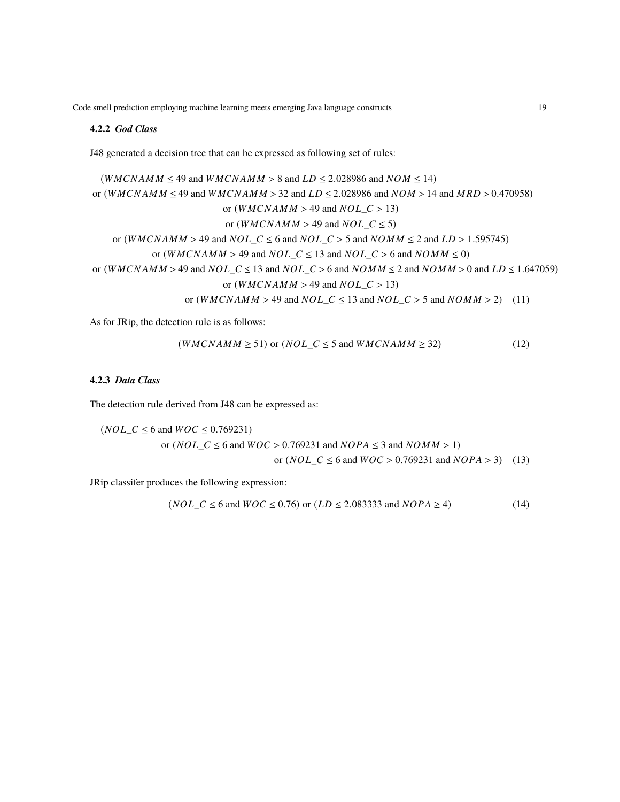# **4.2.2** *God Class*

J48 generated a decision tree that can be expressed as following set of rules:

$$
(WMCNAMM \le 49 \text{ and } WMCNAMM > 8 \text{ and } LD \le 2.028986 \text{ and } NOM \le 14)
$$
  
or 
$$
(WMCNAMM \le 49 \text{ and } WMCNAMM > 32 \text{ and } LD \le 2.028986 \text{ and } NOM > 14 \text{ and } MRD > 0.470958)
$$
  
or 
$$
(WMCNAMM > 49 \text{ and } NOL_C > 13)
$$
  
or 
$$
(WMCNAMM > 49 \text{ and } NOL_C \le 5)
$$
  
or 
$$
(WMCNAMM > 49 \text{ and } NOL_C \le 5 \text{ and } NOMM \le 2 \text{ and } LD > 1.595745)
$$
  
or 
$$
(WMCNAMM > 49 \text{ and } NOL_C \le 13 \text{ and } NOL_C > 6 \text{ and } NOMM \le 0)
$$
  
or 
$$
(WMCNAMM > 49 \text{ and } NOL_C > 6 \text{ and } NOMM \le 2 \text{ and } NOMM > 0 \text{ and } LD \le 1.647059)
$$
  
or 
$$
(WMCNAMM > 49 \text{ and } NOL_C > 6 \text{ and } NOMM \le 2 \text{ and } NOMM > 0 \text{ and } LD \le 1.647059)
$$
  
or 
$$
(WMCNAMM > 49 \text{ and } NOL_C \le 13 \text{ and } NOL_C > 5 \text{ and } NOMM > 2) \quad (11)
$$

As for JRip, the detection rule is as follows:

<span id="page-18-0"></span>
$$
(WMCNAMM \ge 51) \text{ or } (NOL\_C \le 5 \text{ and } WMCNAMM \ge 32)
$$
 (12)

# **4.2.3** *Data Class*

The detection rule derived from J48 can be expressed as:

$$
(NOL_C \le 6 \text{ and } WOC \le 0.769231)
$$
  
or 
$$
(NOL_C \le 6 \text{ and } WOC > 0.769231 \text{ and } NOPA \le 3 \text{ and } NOMM > 1)
$$
  
or 
$$
(NOL_C \le 6 \text{ and } WOC > 0.769231 \text{ and } NOPA > 3)
$$
 (13)

JRip classifer produces the following expression:

<span id="page-18-1"></span>
$$
(NOL_C \le 6 \text{ and } WOC \le 0.76) \text{ or } (LD \le 2.083333 \text{ and } NOPA \ge 4)
$$
 (14)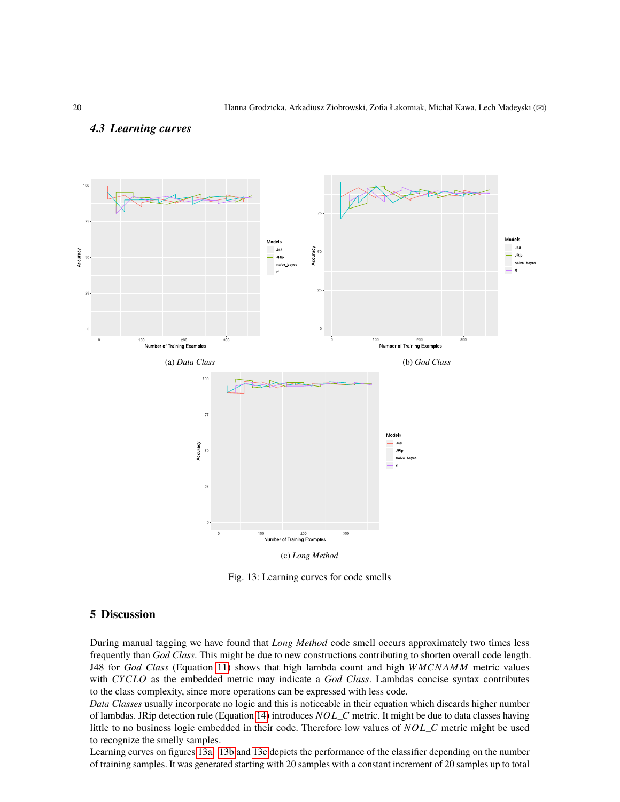<span id="page-19-1"></span>

# *4.3 Learning curves*

Fig. 13: Learning curves for code smells

# <span id="page-19-0"></span>**5 Discussion**

During manual tagging we have found that *Long Method* code smell occurs approximately two times less frequently than *God Class*. This might be due to new constructions contributing to shorten overall code length. J48 for *God Class* (Equation [11\)](#page-18-0) shows that high lambda count and high WMCNAMM metric values with CYCLO as the embedded metric may indicate a *God Class*. Lambdas concise syntax contributes to the class complexity, since more operations can be expressed with less code.

*Data Classes* usually incorporate no logic and this is noticeable in their equation which discards higher number of lambdas. JRip detection rule (Equation [14\)](#page-18-1) introduces  $NOL\_C$  metric. It might be due to data classes having little to no business logic embedded in their code. Therefore low values of NOL\_C metric might be used to recognize the smelly samples.

Learning curves on figures [13a, 13b](#page-19-1) and [13c](#page-19-1) depicts the performance of the classifier depending on the number of training samples. It was generated starting with 20 samples with a constant increment of 20 samples up to total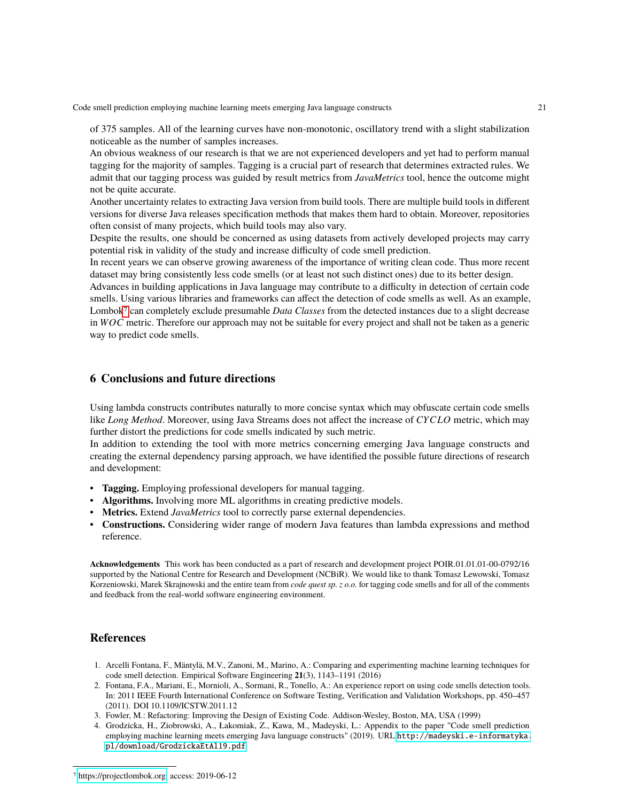of 375 samples. All of the learning curves have non-monotonic, oscillatory trend with a slight stabilization noticeable as the number of samples increases.

An obvious weakness of our research is that we are not experienced developers and yet had to perform manual tagging for the majority of samples. Tagging is a crucial part of research that determines extracted rules. We admit that our tagging process was guided by result metrics from *JavaMetrics* tool, hence the outcome might not be quite accurate.

Another uncertainty relates to extracting Java version from build tools. There are multiple build tools in different versions for diverse Java releases specification methods that makes them hard to obtain. Moreover, repositories often consist of many projects, which build tools may also vary.

Despite the results, one should be concerned as using datasets from actively developed projects may carry potential risk in validity of the study and increase difficulty of code smell prediction.

In recent years we can observe growing awareness of the importance of writing clean code. Thus more recent dataset may bring consistently less code smells (or at least not such distinct ones) due to its better design.

Advances in building applications in Java language may contribute to a difficulty in detection of certain code smells. Using various libraries and frameworks can affect the detection of code smells as well. As an example, Lombok[7](#page-20-5) can completely exclude presumable *Data Classes* from the detected instances due to a slight decrease in  $WOC$  metric. Therefore our approach may not be suitable for every project and shall not be taken as a generic way to predict code smells.

# <span id="page-20-3"></span>**6 Conclusions and future directions**

Using lambda constructs contributes naturally to more concise syntax which may obfuscate certain code smells like *Long Method*. Moreover, using Java Streams does not affect the increase of CYCLO metric, which may further distort the predictions for code smells indicated by such metric.

In addition to extending the tool with more metrics concerning emerging Java language constructs and creating the external dependency parsing approach, we have identified the possible future directions of research and development:

- **Tagging.** Employing professional developers for manual tagging.
- **Algorithms.** Involving more ML algorithms in creating predictive models.
- **Metrics.** Extend *JavaMetrics* tool to correctly parse external dependencies.
- **Constructions.** Considering wider range of modern Java features than lambda expressions and method reference.

**Acknowledgements** This work has been conducted as a part of research and development project POIR.01.01.01-00-0792/16 supported by the National Centre for Research and Development (NCBiR). We would like to thank Tomasz Lewowski, Tomasz Korzeniowski, Marek Skrajnowski and the entire team from *code quest sp. z o.o.* for tagging code smells and for all of the comments and feedback from the real-world software engineering environment.

# **References**

- <span id="page-20-1"></span>1. Arcelli Fontana, F., Mäntylä, M.V., Zanoni, M., Marino, A.: Comparing and experimenting machine learning techniques for code smell detection. Empirical Software Engineering **21**(3), 1143–1191 (2016)
- <span id="page-20-2"></span>2. Fontana, F.A., Mariani, E., Mornioli, A., Sormani, R., Tonello, A.: An experience report on using code smells detection tools. In: 2011 IEEE Fourth International Conference on Software Testing, Verification and Validation Workshops, pp. 450–457 (2011). DOI 10.1109/ICSTW.2011.12
- <span id="page-20-0"></span>3. Fowler, M.: Refactoring: Improving the Design of Existing Code. Addison-Wesley, Boston, MA, USA (1999)
- <span id="page-20-4"></span>4. Grodzicka, H., Ziobrowski, A., Łakomiak, Z., Kawa, M., Madeyski, L.: Appendix to the paper "Code smell prediction employing machine learning meets emerging Java language constructs" (2019). URL [http://madeyski.e-informatyka.](http://madeyski.e-informatyka.pl/download/GrodzickaEtAl19.pdf) [pl/download/GrodzickaEtAl19.pdf](http://madeyski.e-informatyka.pl/download/GrodzickaEtAl19.pdf)

<span id="page-20-5"></span><sup>7</sup> [https://projectlombok.org,](https://projectlombok.org) access: 2019-06-12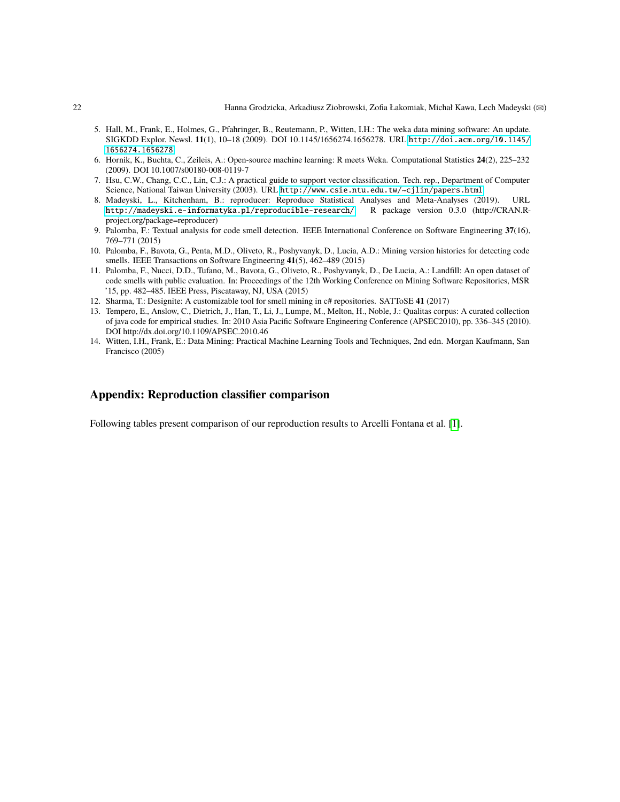- <span id="page-21-8"></span>5. Hall, M., Frank, E., Holmes, G., Pfahringer, B., Reutemann, P., Witten, I.H.: The weka data mining software: An update. SIGKDD Explor. Newsl. **11**(1), 10–18 (2009). DOI 10.1145/1656274.1656278. URL [http://doi.acm.org/10.1145/](http://doi.acm.org/10.1145/1656274.1656278) [1656274.1656278](http://doi.acm.org/10.1145/1656274.1656278)
- <span id="page-21-5"></span>6. Hornik, K., Buchta, C., Zeileis, A.: Open-source machine learning: R meets Weka. Computational Statistics **24**(2), 225–232 (2009). DOI 10.1007/s00180-008-0119-7
- <span id="page-21-6"></span>7. Hsu, C.W., Chang, C.C., Lin, C.J.: A practical guide to support vector classification. Tech. rep., Department of Computer Science, National Taiwan University (2003). URL <http://www.csie.ntu.edu.tw/~cjlin/papers.html>
- <span id="page-21-10"></span>8. Madeyski, L., Kitchenham, B.: reproducer: Reproduce Statistical Analyses and Meta-Analyses (2019). URL <http://madeyski.e-informatyka.pl/reproducible-research/>. R package version 0.3.0 (http://CRAN.Rproject.org/package=reproducer)
- <span id="page-21-2"></span>9. Palomba, F.: Textual analysis for code smell detection. IEEE International Conference on Software Engineering **37**(16), 769–771 (2015)
- <span id="page-21-0"></span>10. Palomba, F., Bavota, G., Penta, M.D., Oliveto, R., Poshyvanyk, D., Lucia, A.D.: Mining version histories for detecting code smells. IEEE Transactions on Software Engineering **41**(5), 462–489 (2015)
- <span id="page-21-1"></span>11. Palomba, F., Nucci, D.D., Tufano, M., Bavota, G., Oliveto, R., Poshyvanyk, D., De Lucia, A.: Landfill: An open dataset of code smells with public evaluation. In: Proceedings of the 12th Working Conference on Mining Software Repositories, MSR '15, pp. 482–485. IEEE Press, Piscataway, NJ, USA (2015)
- <span id="page-21-3"></span>12. Sharma, T.: Designite: A customizable tool for smell mining in c# repositories. SATToSE **41** (2017)
- <span id="page-21-4"></span>13. Tempero, E., Anslow, C., Dietrich, J., Han, T., Li, J., Lumpe, M., Melton, H., Noble, J.: Qualitas corpus: A curated collection of java code for empirical studies. In: 2010 Asia Pacific Software Engineering Conference (APSEC2010), pp. 336–345 (2010). DOI http://dx.doi.org/10.1109/APSEC.2010.46
- <span id="page-21-7"></span>14. Witten, I.H., Frank, E.: Data Mining: Practical Machine Learning Tools and Techniques, 2nd edn. Morgan Kaufmann, San Francisco (2005)

# <span id="page-21-9"></span>**Appendix: Reproduction classifier comparison**

Following tables present comparison of our reproduction results to Arcelli Fontana et al. [\[1\]](#page-20-1).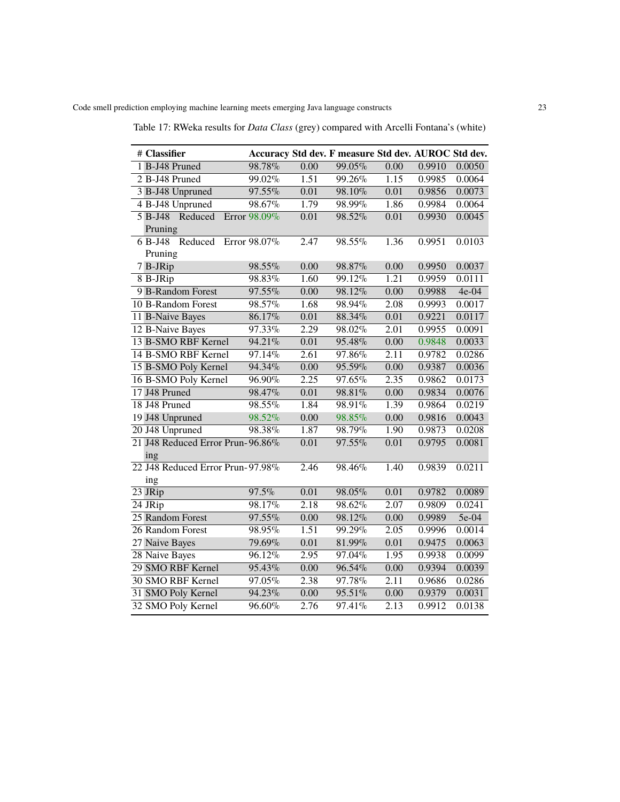Table 17: RWeka results for *Data Class* (grey) compared with Arcelli Fontana's (white)

| # Classifier                     |              |                   | Accuracy Std dev. F measure Std dev. AUROC Std dev. |                   |                     |         |
|----------------------------------|--------------|-------------------|-----------------------------------------------------|-------------------|---------------------|---------|
| 1 B-J48 Pruned                   | 98.78%       | 0.00              | 99.05%                                              | 0.00              | 0.9910              | 0.0050  |
| 2 B-J48 Pruned                   | 99.02%       | 1.51              | 99.26%                                              | 1.15              | 0.9985              | 0.0064  |
| 3 B-J48 Unpruned                 | 97.55%       | 0.01              | 98.10%                                              | 0.01              | 0.9856              | 0.0073  |
| 4 B-J48 Unpruned                 | 98.67%       | 1.79              | 98.99%                                              | 1.86              | 0.9984              | 0.0064  |
| 5 B-J48 Reduced                  | Error 98.09% | $\overline{0.01}$ | 98.52%                                              | 0.01              | 0.9930              | 0.0045  |
| Pruning                          |              |                   |                                                     |                   |                     |         |
| 6 B-J48 Reduced                  | Error 98.07% | 2.47              | 98.55%                                              | 1.36              | 0.9951              | 0.0103  |
| Pruning                          |              |                   |                                                     |                   |                     |         |
| 7 B-JRip                         | 98.55%       | 0.00              | 98.87%                                              | 0.00              | 0.9950              | 0.0037  |
| 8 B-JRip                         | 98.83%       | 1.60              | 99.12%                                              | 1.21              | 0.9959              | 0.0111  |
| 9 B-Random Forest                | 97.55%       | 0.00              | 98.12%                                              | 0.00              | 0.9988              | $4e-04$ |
| 10 B-Random Forest               | 98.57%       | 1.68              | 98.94%                                              | 2.08              | $\overline{0.9993}$ | 0.0017  |
| 11 B-Naive Bayes                 | 86.17%       | 0.01              | 88.34%                                              | $\overline{0.01}$ | 0.9221              | 0.0117  |
| 12 B-Naive Bayes                 | 97.33%       | 2.29              | 98.02%                                              | 2.01              | 0.9955              | 0.0091  |
| 13 B-SMO RBF Kernel              | 94.21%       | 0.01              | 95.48%                                              | 0.00              | 0.9848              | 0.0033  |
| 14 B-SMO RBF Kernel              | 97.14%       | 2.61              | 97.86%                                              | 2.11              | 0.9782              | 0.0286  |
| 15 B-SMO Poly Kernel             | 94.34%       | 0.00              | 95.59%                                              | 0.00              | 0.9387              | 0.0036  |
| 16 B-SMO Poly Kernel             | 96.90%       | 2.25              | 97.65%                                              | 2.35              | 0.9862              | 0.0173  |
| 17 J48 Pruned                    | 98.47%       | 0.01              | 98.81%                                              | 0.00              | 0.9834              | 0.0076  |
| 18 J48 Pruned                    | 98.55%       | 1.84              | 98.91%                                              | 1.39              | 0.9864              | 0.0219  |
| 19 J48 Unpruned                  | 98.52%       | 0.00              | 98.85%                                              | 0.00              | 0.9816              | 0.0043  |
| 20 J48 Unpruned                  | 98.38%       | 1.87              | 98.79%                                              | 1.90              | 0.9873              | 0.0208  |
| 21 J48 Reduced Error Prun-96.86% |              | $\overline{0.01}$ | $97.55\%$                                           | 0.01              | 0.9795              | 0.0081  |
| ing                              |              |                   |                                                     |                   |                     |         |
| 22 J48 Reduced Error Prun-97.98% |              | 2.46              | 98.46%                                              | 1.40              | 0.9839              | 0.0211  |
| ing                              |              |                   |                                                     |                   |                     |         |
| $23$ JRip                        | $97.5\%$     | 0.01              | 98.05%                                              | $\overline{0.01}$ | 0.9782              | 0.0089  |
| 24 JRip                          | 98.17%       | $\overline{2.18}$ | 98.62%                                              | 2.07              | 0.9809              | 0.0241  |
| 25 Random Forest                 | 97.55%       | 0.00              | 98.12%                                              | 0.00              | 0.9989              | 5e-04   |
| 26 Random Forest                 | 98.95%       | 1.51              | 99.29%                                              | 2.05              | 0.9996              | 0.0014  |
| 27 Naive Bayes                   | 79.69%       | 0.01              | 81.99%                                              | 0.01              | 0.9475              | 0.0063  |
| 28 Naive Bayes                   | 96.12%       | 2.95              | 97.04%                                              | 1.95              | 0.9938              | 0.0099  |
| 29 SMO RBF Kernel                | 95.43%       | 0.00              | 96.54%                                              | 0.00              | 0.9394              | 0.0039  |
| 30 SMO RBF Kernel                | 97.05%       | 2.38              | 97.78%                                              | 2.11              | 0.9686              | 0.0286  |
| 31 SMO Poly Kernel               | 94.23%       | 0.00              | 95.51%                                              | 0.00              | 0.9379              | 0.0031  |
| 32 SMO Poly Kernel               | 96.60%       | 2.76              | 97.41%                                              | $\overline{2.13}$ | 0.9912              | 0.0138  |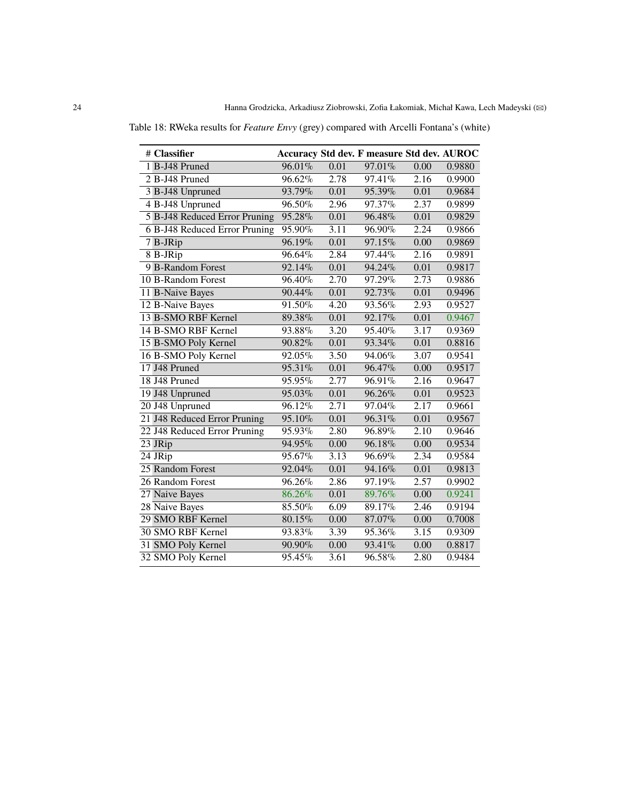|  |  |  |  |  |  | Table 18: RWeka results for <i>Feature Envy</i> (grey) compared with Arcelli Fontana's (white) |  |  |  |  |  |  |
|--|--|--|--|--|--|------------------------------------------------------------------------------------------------|--|--|--|--|--|--|
|--|--|--|--|--|--|------------------------------------------------------------------------------------------------|--|--|--|--|--|--|

| # Classifier                  |           |                   | Accuracy Std dev. F measure Std dev. AUROC |      |        |
|-------------------------------|-----------|-------------------|--------------------------------------------|------|--------|
| 1 B-J48 Pruned                | 96.01%    | 0.01              | 97.01%                                     | 0.00 | 0.9880 |
| 2 B-J48 Pruned                | 96.62%    | 2.78              | 97.41%                                     | 2.16 | 0.9900 |
| 3 B-J48 Unpruned              | 93.79%    | 0.01              | 95.39%                                     | 0.01 | 0.9684 |
| 4 B-J48 Unpruned              | 96.50%    | 2.96              | 97.37%                                     | 2.37 | 0.9899 |
| 5 B-J48 Reduced Error Pruning | 95.28%    | 0.01              | 96.48%                                     | 0.01 | 0.9829 |
| 6 B-J48 Reduced Error Pruning | 95.90%    | 3.11              | 96.90%                                     | 2.24 | 0.9866 |
| 7 B-JRip                      | 96.19%    | 0.01              | 97.15%                                     | 0.00 | 0.9869 |
| 8 B-JRip                      | 96.64%    | 2.84              | 97.44%                                     | 2.16 | 0.9891 |
| 9 B-Random Forest             | 92.14%    | 0.01              | 94.24%                                     | 0.01 | 0.9817 |
| 10 B-Random Forest            | 96.40%    | 2.70              | 97.29%                                     | 2.73 | 0.9886 |
| 11 B-Naive Bayes              | 90.44%    | 0.01              | 92.73%                                     | 0.01 | 0.9496 |
| 12 B-Naive Bayes              | 91.50%    | 4.20              | 93.56%                                     | 2.93 | 0.9527 |
| 13 B-SMO RBF Kernel           | 89.38%    | 0.01              | 92.17%                                     | 0.01 | 0.9467 |
| 14 B-SMO RBF Kernel           | 93.88%    | 3.20              | 95.40%                                     | 3.17 | 0.9369 |
| 15 B-SMO Poly Kernel          | 90.82%    | 0.01              | 93.34%                                     | 0.01 | 0.8816 |
| 16 B-SMO Poly Kernel          | 92.05%    | 3.50              | 94.06%                                     | 3.07 | 0.9541 |
| 17 J48 Pruned                 | 95.31%    | 0.01              | 96.47%                                     | 0.00 | 0.9517 |
| 18 J48 Pruned                 | 95.95%    | 2.77              | 96.91%                                     | 2.16 | 0.9647 |
| 19 J48 Unpruned               | 95.03%    | 0.01              | 96.26%                                     | 0.01 | 0.9523 |
| 20 J48 Unpruned               | 96.12%    | 2.71              | 97.04%                                     | 2.17 | 0.9661 |
| 21 J48 Reduced Error Pruning  | $95.10\%$ | 0.01              | 96.31%                                     | 0.01 | 0.9567 |
| 22 J48 Reduced Error Pruning  | 95.93%    | 2.80              | 96.89%                                     | 2.10 | 0.9646 |
| 23 JRip                       | 94.95%    | 0.00              | 96.18%                                     | 0.00 | 0.9534 |
| $24 \overline{J}$ Rip         | 95.67%    | 3.13              | 96.69%                                     | 2.34 | 0.9584 |
| 25 Random Forest              | 92.04%    | $\overline{0.01}$ | 94.16%                                     | 0.01 | 0.9813 |
| 26 Random Forest              | $96.26\%$ | 2.86              | 97.19%                                     | 2.57 | 0.9902 |
| 27 Naive Bayes                | 86.26%    | 0.01              | 89.76%                                     | 0.00 | 0.9241 |
| 28 Naive Bayes                | 85.50%    | 6.09              | 89.17%                                     | 2.46 | 0.9194 |
| 29 SMO RBF Kernel             | $80.15\%$ | 0.00              | 87.07%                                     | 0.00 | 0.7008 |
| 30 SMO RBF Kernel             | 93.83%    | 3.39              | 95.36%                                     | 3.15 | 0.9309 |
| 31 SMO Poly Kernel            | 90.90%    | 0.00              | 93.41%                                     | 0.00 | 0.8817 |
| 32 SMO Poly Kernel            | 95.45%    | 3.61              | 96.58%                                     | 2.80 | 0.9484 |